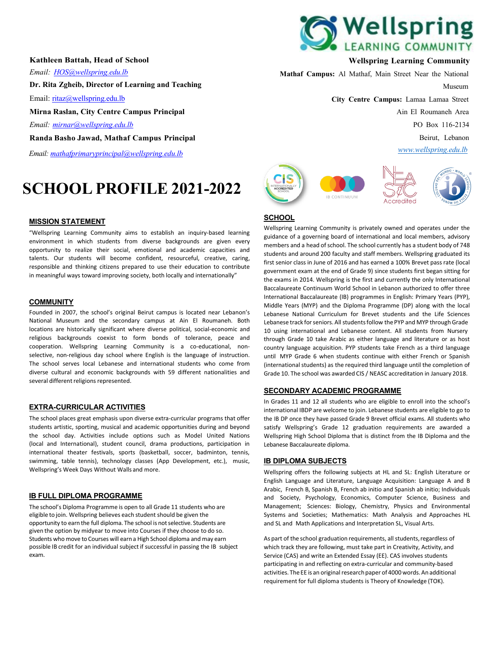**Kathleen Battah, Head of School** *Email: [HOS@wellspring.edu.lb](mailto:HOS@wellspring.edu.lb)* **Dr. Rita Zgheib, Director of Learning and Teaching** Email: [ritaz@wellspring.edu.lb](mailto:ritaz@wellspring.edu.lb) **Mirna Raslan, City Centre Campus Principal** *Email: [mirnar@wellspring.edu.lb](mailto:mirnar@wellspring.edu.lb)* **Randa Basho Jawad, Mathaf Campus Principal**

*Email: [mathafprimaryprincipal@wellspring.edu.lb](mailto:mathafprimaryprincipal@wellspring.edu.lb)*

# **SCHOOL PROFILE 2021-2022**

#### **MISSION STATEMENT**

"Wellspring Learning Community aims to establish an inquiry-based learning environment in which students from diverse backgrounds are given every opportunity to realize their social, emotional and academic capacities and talents. Our students will become confident, resourceful, creative, caring, responsible and thinking citizens prepared to use their education to contribute in meaningful ways toward improving society, both locally and internationally"

#### **COMMUNITY**

Founded in 2007, the school's original Beirut campus is located near Lebanon's National Museum and the secondary campus at Ain El Roumaneh. Both locations are historically significant where diverse political, social-economic and religious backgrounds coexist to form bonds of tolerance, peace and cooperation. Wellspring Learning Community is a co-educational, nonselective, non-religious day school where English is the language of instruction. The school serves local Lebanese and international students who come from diverse cultural and economic backgrounds with 59 different nationalities and several different religions represented.

#### **EXTRA-CURRICULAR ACTIVITIES**

The school places great emphasis upon diverse extra-curricular programs that offer students artistic, sporting, musical and academic opportunities during and beyond the school day. Activities include options such as Model United Nations (local and International), student council, drama productions, participation in international theater festivals, sports (basketball, soccer, badminton, tennis, swimming, table tennis), technology classes (App Development, etc.), music, Wellspring's Week Days Without Walls and more.

#### **IB FULL DIPLOMA PROGRAMME**

The school's Diploma Programme is open to all Grade 11 students who are eligible to join. Wellspring believes each student should be given the opportunity to earn the full diploma. The school is notselective. Students are given the option by midyear to move into Courses if they choose to do so. Students who move to Courses will earna High School diploma and may earn possible IB credit for an individual subject if successful in passing the IB subject exam.



# **Wellspring Learning Community**

**Mathaf Campus:** Al Mathaf, Main Street Near the National

Museum

**City Centre Campus:** Lamaa Lamaa Street Ain El Roumaneh Area PO Box 116-2134 Beirut, Lebanon

*[www.wellspring.edu.lb](http://www.wellspring.edu.lb/)*







## **SCHOOL**

Wellspring Learning Community is privately owned and operates under the guidance of a governing board of international and local members, advisory members and a head of school. The school currently has a student body of 748 students and around 200 faculty and staff members. Wellspring graduated its first senior class in June of 2016 and has earned a 100% Brevet pass rate (local government exam at the end of Grade 9) since students first began sitting for the exams in 2014. Wellspring is the first and currently the only International Baccalaureate Continuum World School in Lebanon authorized to offer three International Baccalaureate (IB) programmes in English: Primary Years (PYP), Middle Years (MYP) and the Diploma Programme (DP) along with the local Lebanese National Curriculum for Brevet students and the Life Sciences Lebanese track for seniors. All students follow the PYP and MYP through Grade 10 using international and Lebanese content. All students from Nursery through Grade 10 take Arabic as either language and literature or as host country language acquisition. PYP students take French as a third language until MYP Grade 6 when students continue with either French or Spanish (international students) as the required third language until the completion of Grade 10. The school was awarded CIS / NEASC accreditation in January 2018.

#### **SECONDARY ACADEMIC PROGRAMME**

In Grades 11 and 12 all students who are eligible to enroll into the school's international IBDP are welcome to join. Lebanese students are eligible to go to the IB DP once they have passed Grade 9 Brevet official exams. All students who satisfy Wellspring's Grade 12 graduation requirements are awarded a Wellspring High School Diploma that is distinct from the IB Diploma and the Lebanese Baccalaureate diploma.

#### **IB DIPLOMA SUBJECTS**

Wellspring offers the following subjects at HL and SL: English Literature or English Language and Literature, Language Acquisition: Language A and B Arabic, French B, Spanish B, French ab initio and Spanish ab initio; Individuals and Society, Psychology, Economics, Computer Science, Business and Management; Sciences: Biology, Chemistry, Physics and Environmental Systems and Societies; Mathematics: Math Analysis and Approaches HL and SL and Math Applications and Interpretation SL, Visual Arts.

As part of the school graduation requirements, all students, regardless of which track they are following, must take part in Creativity, Activity, and Service (CAS) and write an Extended Essay (EE). CAS involves students participating in and reflecting on extra-curricular and community-based activities. The EE is an original research paper of 4000 words. An additional requirement for full diploma students is Theory of Knowledge (TOK).